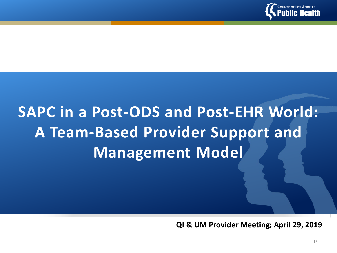

# **SAPC in a Post-ODS and Post-EHR World: A Team-Based Provider Support and Management Model**

**QI & UM Provider Meeting; April 29, 2019**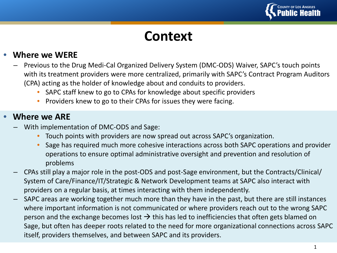

## **Context**

#### • **Where we WERE**

- Previous to the Drug Medi-Cal Organized Delivery System (DMC-ODS) Waiver, SAPC's touch points with its treatment providers were more centralized, primarily with SAPC's Contract Program Auditors (CPA) acting as the holder of knowledge about and conduits to providers.
	- SAPC staff knew to go to CPAs for knowledge about specific providers
	- Providers knew to go to their CPAs for issues they were facing.

#### • **Where we ARE**

- With implementation of DMC-ODS and Sage:
	- Touch points with providers are now spread out across SAPC's organization.
	- Sage has required much more cohesive interactions across both SAPC operations and provider operations to ensure optimal administrative oversight and prevention and resolution of problems
- CPAs still play a major role in the post-ODS and post-Sage environment, but the Contracts/Clinical/ System of Care/Finance/IT/Strategic & Network Development teams at SAPC also interact with providers on a regular basis, at times interacting with them independently.
- SAPC areas are working together much more than they have in the past, but there are still instances where important information is not communicated or where providers reach out to the wrong SAPC person and the exchange becomes lost  $\rightarrow$  this has led to inefficiencies that often gets blamed on Sage, but often has deeper roots related to the need for more organizational connections across SAPC itself, providers themselves, and between SAPC and its providers.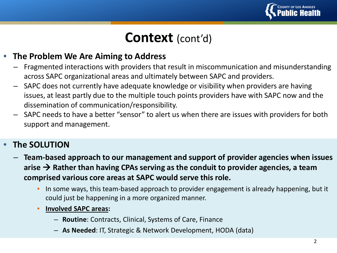

## **Context** (cont'd)

#### • **The Problem We Are Aiming to Address**

- Fragmented interactions with providers that result in miscommunication and misunderstanding across SAPC organizational areas and ultimately between SAPC and providers.
- SAPC does not currently have adequate knowledge or visibility when providers are having issues, at least partly due to the multiple touch points providers have with SAPC now and the dissemination of communication/responsibility.
- SAPC needs to have a better "sensor" to alert us when there are issues with providers for both support and management.

#### • **The SOLUTION**

- **Team-based approach to our management and support of provider agencies when issues**  arise  $\rightarrow$  Rather than having CPAs serving as the conduit to provider agencies, a team **comprised various core areas at SAPC would serve this role.** 
	- In some ways, this team-based approach to provider engagement is already happening, but it could just be happening in a more organized manner.
	- **Involved SAPC areas:** 
		- **Routine**: Contracts, Clinical, Systems of Care, Finance
		- **As Needed**: IT, Strategic & Network Development, HODA (data)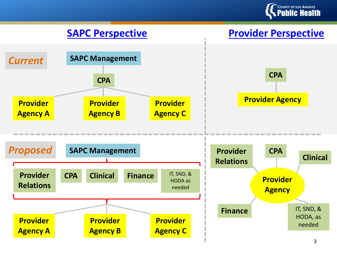

#### **SAPC Perspective Provider Perspective**



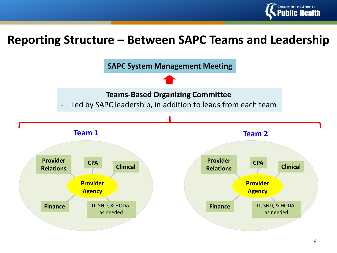

### **Reporting Structure – Between SAPC Teams and Leadership**